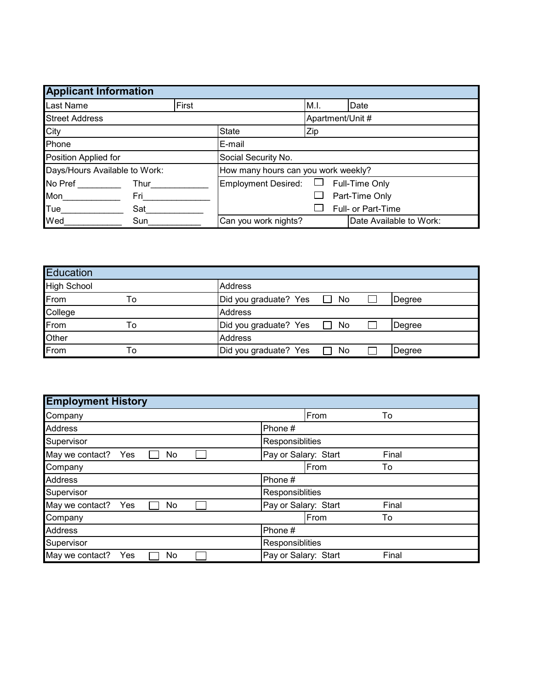| <b>Applicant Information</b>  |       |                                     |                            |                  |      |                         |  |
|-------------------------------|-------|-------------------------------------|----------------------------|------------------|------|-------------------------|--|
| Last Name                     | First |                                     |                            |                  | M.I. | Date                    |  |
| <b>Street Address</b>         |       |                                     |                            | Apartment/Unit # |      |                         |  |
| <b>City</b>                   |       | <b>State</b>                        | Zip                        |                  |      |                         |  |
| Phone                         |       |                                     | lE-mail                    |                  |      |                         |  |
| Position Applied for          |       |                                     | Social Security No.        |                  |      |                         |  |
| Days/Hours Available to Work: |       | How many hours can you work weekly? |                            |                  |      |                         |  |
| No Pref                       | Thur  |                                     | <b>Employment Desired:</b> |                  |      | Full-Time Only          |  |
| Mon<br>Fri                    |       | Part-Time Only                      |                            |                  |      |                         |  |
| <b>Tue</b><br>Sat             |       | Full- or Part-Time                  |                            |                  |      |                         |  |
| Wed                           | Sun   |                                     | Can you work nights?       |                  |      | Date Available to Work: |  |

| Education   |    |                                       |  |  |  |  |
|-------------|----|---------------------------------------|--|--|--|--|
| High School |    | Address                               |  |  |  |  |
| From        | To | Did you graduate? Yes □ No<br>Degree  |  |  |  |  |
| College     |    | Address                               |  |  |  |  |
| From        | То | Did you graduate? Yes □ No<br>Degree  |  |  |  |  |
| Other       |    | <b>Address</b>                        |  |  |  |  |
| From        | ١o | Did you graduate? Yes<br>No<br>Degree |  |  |  |  |

| <b>Employment History</b>    |                               |  |  |  |  |  |
|------------------------------|-------------------------------|--|--|--|--|--|
| Company                      | From<br>To                    |  |  |  |  |  |
| <b>Address</b>               | Phone #                       |  |  |  |  |  |
| Supervisor                   | Responsiblities               |  |  |  |  |  |
| May we contact?<br>Yes<br>No | Pay or Salary: Start<br>Final |  |  |  |  |  |
| Company                      | From<br>To                    |  |  |  |  |  |
| <b>Address</b>               | Phone #                       |  |  |  |  |  |
| Supervisor                   | Responsiblities               |  |  |  |  |  |
| May we contact?<br>Yes<br>No | Pay or Salary: Start<br>Final |  |  |  |  |  |
| Company                      | From<br>To                    |  |  |  |  |  |
| <b>Address</b>               | Phone #                       |  |  |  |  |  |
| Supervisor                   | Responsiblities               |  |  |  |  |  |
| May we contact?<br>Yes<br>No | Pay or Salary: Start<br>Final |  |  |  |  |  |